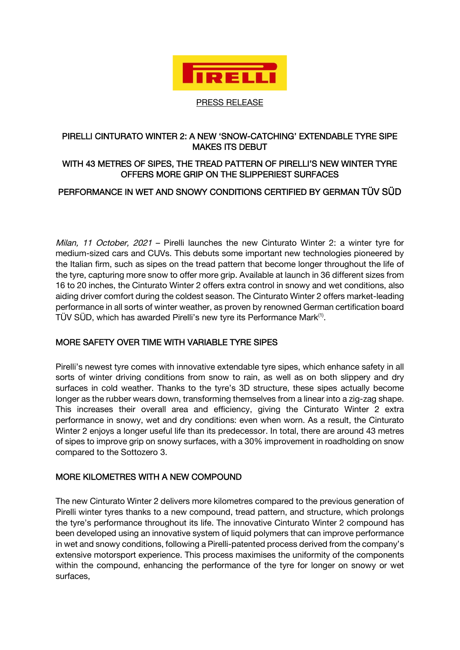

PRESS RELEASE

### PIRELLI CINTURATO WINTER 2: A NEW 'SNOW-CATCHING' EXTENDABLE TYRE SIPE MAKES ITS DEBUT

# WITH 43 METRES OF SIPES, THE TREAD PATTERN OF PIRELLI'S NEW WINTER TYRE OFFERS MORE GRIP ON THE SLIPPERIEST SURFACES

## PERFORMANCE IN WET AND SNOWY CONDITIONS CERTIFIED BY GERMAN TÜV SÜD

Milan, 11 October, 2021 – Pirelli launches the new Cinturato Winter 2: a winter tyre for medium-sized cars and CUVs. This debuts some important new technologies pioneered by the Italian firm, such as sipes on the tread pattern that become longer throughout the life of the tyre, capturing more snow to offer more grip. Available at launch in 36 different sizes from 16 to 20 inches, the Cinturato Winter 2 offers extra control in snowy and wet conditions, also aiding driver comfort during the coldest season. The Cinturato Winter 2 offers market-leading performance in all sorts of winter weather, as proven by renowned German certification board TÜV SÜD, which has awarded Pirelli's new tyre its Performance Mark<sup>(1)</sup>.

## MORE SAFETY OVER TIME WITH VARIABLE TYRE SIPES

Pirelli's newest tyre comes with innovative extendable tyre sipes, which enhance safety in all sorts of winter driving conditions from snow to rain, as well as on both slippery and dry surfaces in cold weather. Thanks to the tyre's 3D structure, these sipes actually become longer as the rubber wears down, transforming themselves from a linear into a zig-zag shape. This increases their overall area and efficiency, giving the Cinturato Winter 2 extra performance in snowy, wet and dry conditions: even when worn. As a result, the Cinturato Winter 2 enjoys a longer useful life than its predecessor. In total, there are around 43 metres of sipes to improve grip on snowy surfaces, with a 30% improvement in roadholding on snow compared to the Sottozero 3.

#### MORE KILOMETRES WITH A NEW COMPOUND

The new Cinturato Winter 2 delivers more kilometres compared to the previous generation of Pirelli winter tyres thanks to a new compound, tread pattern, and structure, which prolongs the tyre's performance throughout its life. The innovative Cinturato Winter 2 compound has been developed using an innovative system of liquid polymers that can improve performance in wet and snowy conditions, following a Pirelli-patented process derived from the company's extensive motorsport experience. This process maximises the uniformity of the components within the compound, enhancing the performance of the tyre for longer on snowy or wet surfaces,